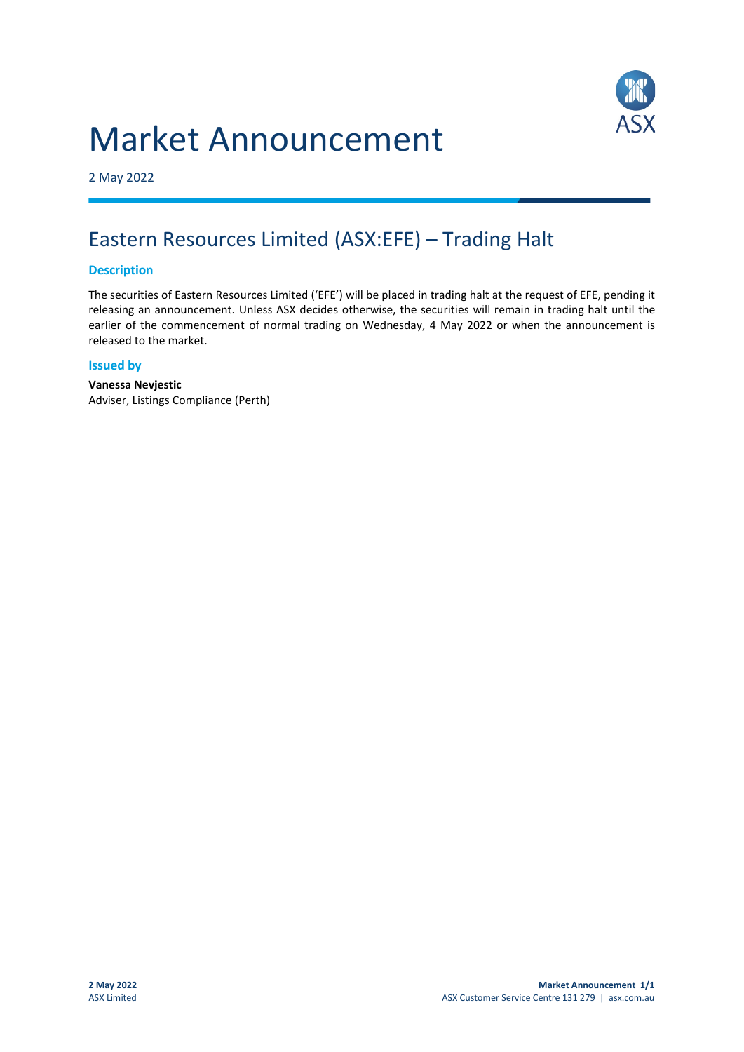# Market Announcement



2 May 2022

## Eastern Resources Limited (ASX:EFE) – Trading Halt

#### **Description**

The securities of Eastern Resources Limited ('EFE') will be placed in trading halt at the request of EFE, pending it releasing an announcement. Unless ASX decides otherwise, the securities will remain in trading halt until the earlier of the commencement of normal trading on Wednesday, 4 May 2022 or when the announcement is released to the market.

#### **Issued by**

**Vanessa Nevjestic** Adviser, Listings Compliance (Perth)